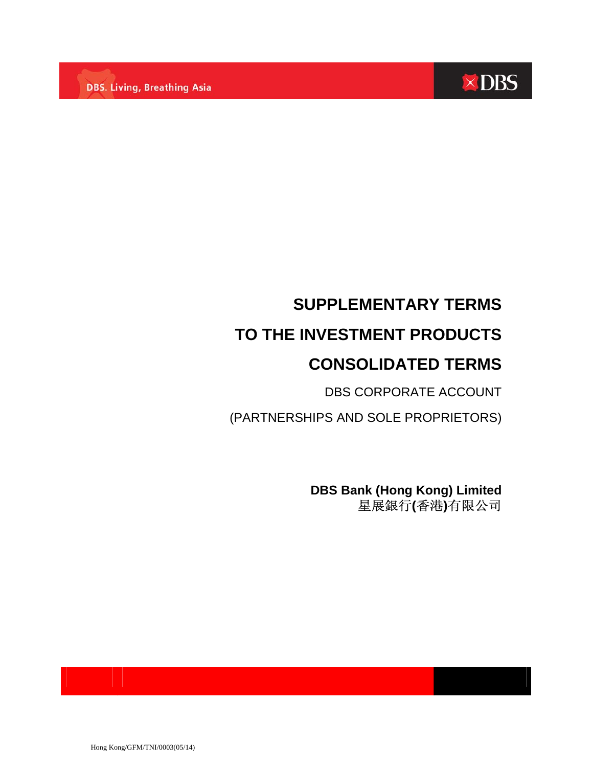

# **SUPPLEMENTARY TERMS TO THE INVESTMENT PRODUCTS CONSOLIDATED TERMS**

DBS CORPORATE ACCOUNT

(PARTNERSHIPS AND SOLE PROPRIETORS)

**DBS Bank (Hong Kong) Limited** 星展銀行**(**香港**)**有限公司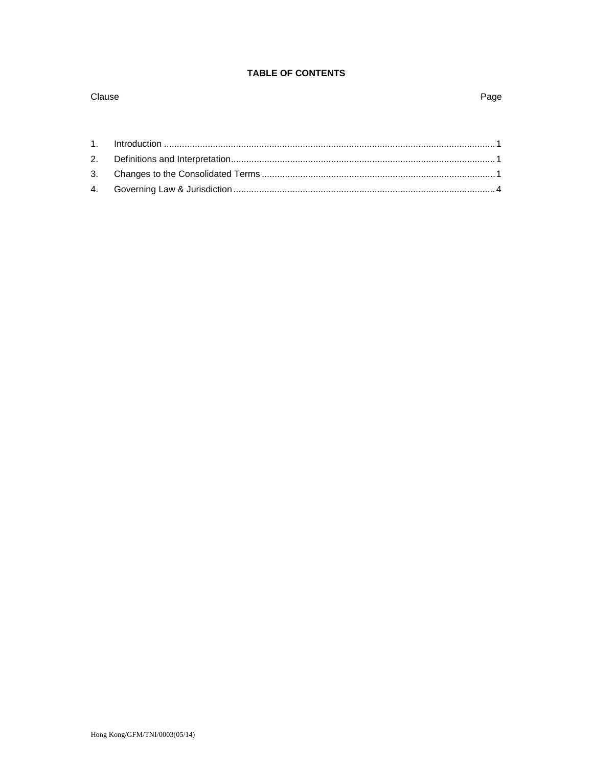### **TABLE OF CONTENTS**

Page

## Clause

#### $1.$  $2.$ 3. 4.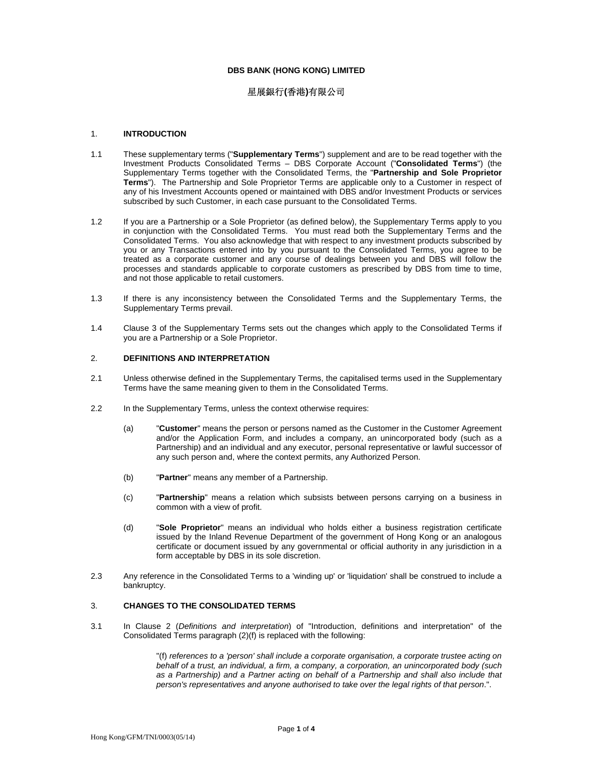#### **DBS BANK (HONG KONG) LIMITED**

#### 星展銀行**(**香港**)**有限公司

#### 1. **INTRODUCTION**

- 1.1 These supplementary terms ("**Supplementary Terms**") supplement and are to be read together with the Investment Products Consolidated Terms – DBS Corporate Account ("**Consolidated Terms**") (the Supplementary Terms together with the Consolidated Terms, the "**Partnership and Sole Proprietor Terms**"). The Partnership and Sole Proprietor Terms are applicable only to a Customer in respect of any of his Investment Accounts opened or maintained with DBS and/or Investment Products or services subscribed by such Customer, in each case pursuant to the Consolidated Terms.
- 1.2 If you are a Partnership or a Sole Proprietor (as defined below), the Supplementary Terms apply to you in conjunction with the Consolidated Terms. You must read both the Supplementary Terms and the Consolidated Terms. You also acknowledge that with respect to any investment products subscribed by you or any Transactions entered into by you pursuant to the Consolidated Terms, you agree to be treated as a corporate customer and any course of dealings between you and DBS will follow the processes and standards applicable to corporate customers as prescribed by DBS from time to time, and not those applicable to retail customers.
- 1.3 If there is any inconsistency between the Consolidated Terms and the Supplementary Terms, the Supplementary Terms prevail.
- 1.4 Clause 3 of the Supplementary Terms sets out the changes which apply to the Consolidated Terms if you are a Partnership or a Sole Proprietor.

#### 2. **DEFINITIONS AND INTERPRETATION**

- 2.1 Unless otherwise defined in the Supplementary Terms, the capitalised terms used in the Supplementary Terms have the same meaning given to them in the Consolidated Terms.
- 2.2 In the Supplementary Terms, unless the context otherwise requires:
	- (a) "**Customer**" means the person or persons named as the Customer in the Customer Agreement and/or the Application Form, and includes a company, an unincorporated body (such as a Partnership) and an individual and any executor, personal representative or lawful successor of any such person and, where the context permits, any Authorized Person.
	- (b) "**Partner**" means any member of a Partnership.
	- (c) "**Partnership**" means a relation which subsists between persons carrying on a business in common with a view of profit.
	- (d) "**Sole Proprietor**" means an individual who holds either a business registration certificate issued by the Inland Revenue Department of the government of Hong Kong or an analogous certificate or document issued by any governmental or official authority in any jurisdiction in a form acceptable by DBS in its sole discretion.
- 2.3 Any reference in the Consolidated Terms to a 'winding up' or 'liquidation' shall be construed to include a bankruptcy.

#### 3. **CHANGES TO THE CONSOLIDATED TERMS**

3.1 In Clause 2 (*Definitions and interpretation*) of "Introduction, definitions and interpretation" of the Consolidated Terms paragraph (2)(f) is replaced with the following:

> "(f) *references to a 'person' shall include a corporate organisation, a corporate trustee acting on behalf of a trust, an individual, a firm, a company, a corporation, an unincorporated body (such as a Partnership) and a Partner acting on behalf of a Partnership and shall also include that person's representatives and anyone authorised to take over the legal rights of that person*.".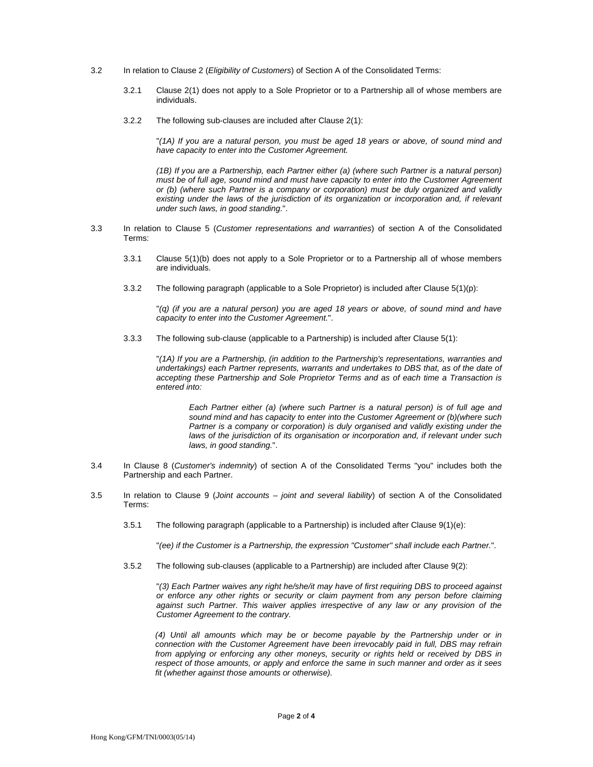- 3.2 In relation to Clause 2 (*Eligibility of Customers*) of Section A of the Consolidated Terms:
	- 3.2.1 Clause 2(1) does not apply to a Sole Proprietor or to a Partnership all of whose members are individuals.
	- 3.2.2 The following sub-clauses are included after Clause 2(1):

"*(1A) If you are a natural person, you must be aged 18 years or above, of sound mind and have capacity to enter into the Customer Agreement.*

*(1B) If you are a Partnership, each Partner either (a) (where such Partner is a natural person) must be of full age, sound mind and must have capacity to enter into the Customer Agreement or (b) (where such Partner is a company or corporation) must be duly organized and validly existing under the laws of the jurisdiction of its organization or incorporation and, if relevant under such laws, in good standing.*".

- 3.3 In relation to Clause 5 (*Customer representations and warranties*) of section A of the Consolidated Terms:
	- 3.3.1 Clause 5(1)(b) does not apply to a Sole Proprietor or to a Partnership all of whose members are individuals.
	- 3.3.2 The following paragraph (applicable to a Sole Proprietor) is included after Clause 5(1)(p):

"*(q) (if you are a natural person) you are aged 18 years or above, of sound mind and have capacity to enter into the Customer Agreement.*".

3.3.3 The following sub-clause (applicable to a Partnership) is included after Clause 5(1):

"*(1A) If you are a Partnership, (in addition to the Partnership's representations, warranties and undertakings) each Partner represents, warrants and undertakes to DBS that, as of the date of accepting these Partnership and Sole Proprietor Terms and as of each time a Transaction is entered into:* 

*Each Partner either (a) (where such Partner is a natural person) is of full age and sound mind and has capacity to enter into the Customer Agreement or (b)(where such Partner is a company or corporation) is duly organised and validly existing under the laws of the jurisdiction of its organisation or incorporation and, if relevant under such laws, in good standing.*".

- 3.4 In Clause 8 (*Customer's indemnity*) of section A of the Consolidated Terms "you" includes both the Partnership and each Partner.
- 3.5 In relation to Clause 9 (*Joint accounts joint and several liability*) of section A of the Consolidated Terms:
	- 3.5.1 The following paragraph (applicable to a Partnership) is included after Clause 9(1)(e):

"*(ee) if the Customer is a Partnership, the expression "Customer" shall include each Partner.*".

3.5.2 The following sub-clauses (applicable to a Partnership) are included after Clause 9(2):

"*(3) Each Partner waives any right he/she/it may have of first requiring DBS to proceed against or enforce any other rights or security or claim payment from any person before claiming against such Partner. This waiver applies irrespective of any law or any provision of the Customer Agreement to the contrary.*

*(4) Until all amounts which may be or become payable by the Partnership under or in connection with the Customer Agreement have been irrevocably paid in full, DBS may refrain from applying or enforcing any other moneys, security or rights held or received by DBS in respect of those amounts, or apply and enforce the same in such manner and order as it sees fit (whether against those amounts or otherwise).*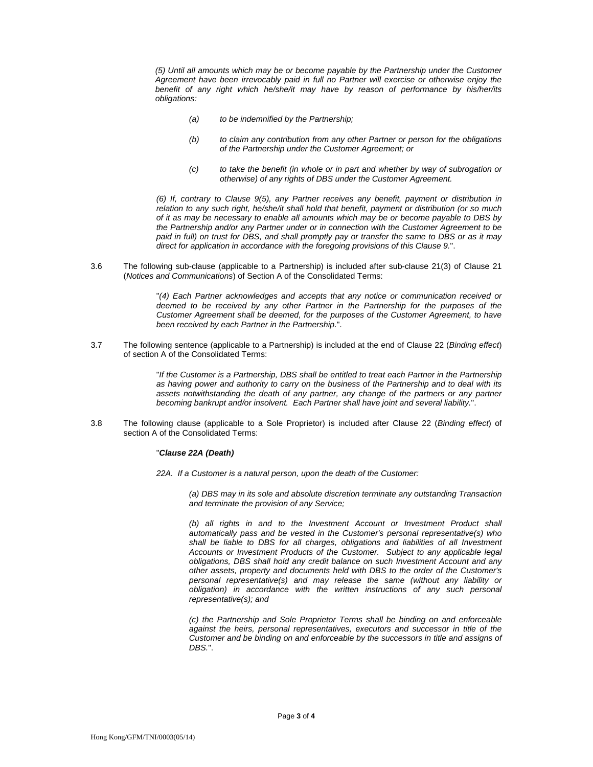*(5) Until all amounts which may be or become payable by the Partnership under the Customer Agreement have been irrevocably paid in full no Partner will exercise or otherwise enjoy the benefit of any right which he/she/it may have by reason of performance by his/her/its obligations:* 

- *(a) to be indemnified by the Partnership;*
- *(b) to claim any contribution from any other Partner or person for the obligations of the Partnership under the Customer Agreement; or*
- *(c) to take the benefit (in whole or in part and whether by way of subrogation or otherwise) of any rights of DBS under the Customer Agreement.*

*(6) If, contrary to Clause 9(5), any Partner receives any benefit, payment or distribution in relation to any such right, he/she/it shall hold that benefit, payment or distribution (or so much of it as may be necessary to enable all amounts which may be or become payable to DBS by the Partnership and/or any Partner under or in connection with the Customer Agreement to be*  paid in full) on trust for DBS, and shall promptly pay or transfer the same to DBS or as it may *direct for application in accordance with the foregoing provisions of this Clause 9.*".

3.6 The following sub-clause (applicable to a Partnership) is included after sub-clause 21(3) of Clause 21 (*Notices and Communications*) of Section A of the Consolidated Terms:

> "*(4) Each Partner acknowledges and accepts that any notice or communication received or deemed to be received by any other Partner in the Partnership for the purposes of the Customer Agreement shall be deemed, for the purposes of the Customer Agreement, to have been received by each Partner in the Partnership*.".

3.7 The following sentence (applicable to a Partnership) is included at the end of Clause 22 (*Binding effect*) of section A of the Consolidated Terms:

> "*If the Customer is a Partnership, DBS shall be entitled to treat each Partner in the Partnership as having power and authority to carry on the business of the Partnership and to deal with its*  assets notwithstanding the death of any partner, any change of the partners or any partner *becoming bankrupt and/or insolvent. Each Partner shall have joint and several liability.*".

3.8 The following clause (applicable to a Sole Proprietor) is included after Clause 22 (*Binding effect*) of section A of the Consolidated Terms:

#### "*Clause 22A (Death)*

*22A. If a Customer is a natural person, upon the death of the Customer:* 

*(a) DBS may in its sole and absolute discretion terminate any outstanding Transaction and terminate the provision of any Service;* 

*(b) all rights in and to the Investment Account or Investment Product shall automatically pass and be vested in the Customer's personal representative(s) who shall be liable to DBS for all charges, obligations and liabilities of all Investment Accounts or Investment Products of the Customer. Subject to any applicable legal obligations, DBS shall hold any credit balance on such Investment Account and any other assets, property and documents held with DBS to the order of the Customer's personal representative(s) and may release the same (without any liability or obligation) in accordance with the written instructions of any such personal representative(s); and* 

*(c) the Partnership and Sole Proprietor Terms shall be binding on and enforceable against the heirs, personal representatives, executors and successor in title of the Customer and be binding on and enforceable by the successors in title and assigns of DBS.*".